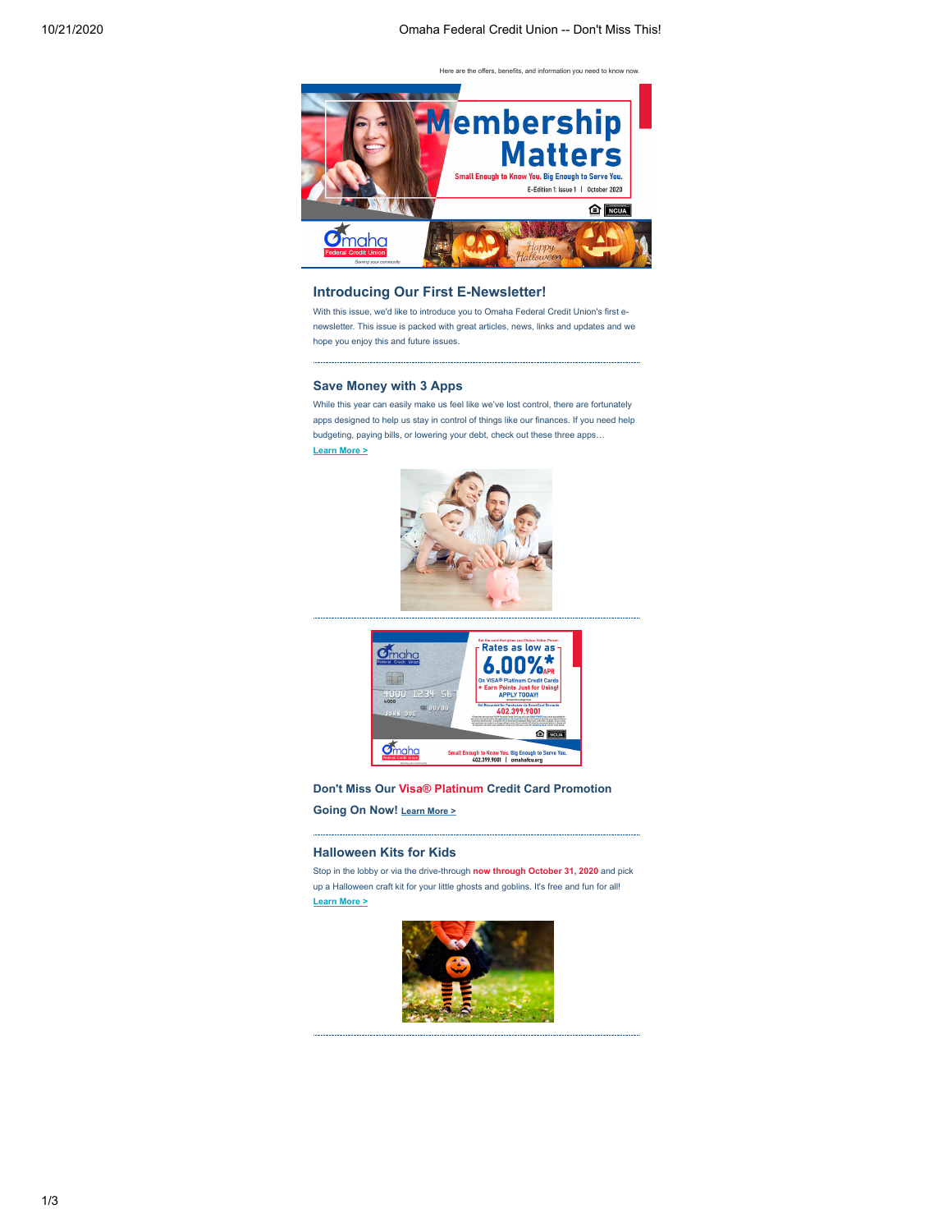Here are the offers, benefits, and information you need to know now.



## **Introducing Our First E-Newsletter!**

With this issue, we'd like to introduce you to Omaha Federal Credit Union's first enewsletter. This issue is packed with great articles, news, links and updates and we hope you enjoy this and future issues.

### **Save Money with 3 Apps**

While this year can easily make us feel like we've lost control, there are fortunately apps designed to help us stay in control of things like our finances. If you need help budgeting, paying bills, or lowering your debt, check out these three apps… **[Learn More >](https://www.cuinsight.com/3-apps-to-help-you-manage-money-decrease-debt-and-pay-bills.html?utm_source=hs_email&utm_medium=email&_hsenc=p2ANqtz-8cY1pqZ8OD2JWJAG3BfBxU9TiMDYXkRvA1_u-DrQ0I0Y9ImOF6UyL-6AmfUQMQdsX612Ya)**





**Don't Miss Our Visa® Platinum Credit Card Promotion Going On Now! [Learn More >](https://www.omahafcu.org/2020/10/13/visa-platinum-credit-card-promotion/?utm_source=hs_email&utm_medium=email&_hsenc=p2ANqtz-8cY1pqZ8OD2JWJAG3BfBxU9TiMDYXkRvA1_u-DrQ0I0Y9ImOF6UyL-6AmfUQMQdsX612Ya)**

#### **Halloween Kits for Kids**

Stop in the lobby or via the drive-through **now through October 31, 2020** and pick up a Halloween craft kit for your little ghosts and goblins. It's free and fun for all! **[Learn More >](https://www.omahafcu.org/2020/10/13/halloween-kits-for-kids/?utm_source=hs_email&utm_medium=email&_hsenc=p2ANqtz-8cY1pqZ8OD2JWJAG3BfBxU9TiMDYXkRvA1_u-DrQ0I0Y9ImOF6UyL-6AmfUQMQdsX612Ya)**

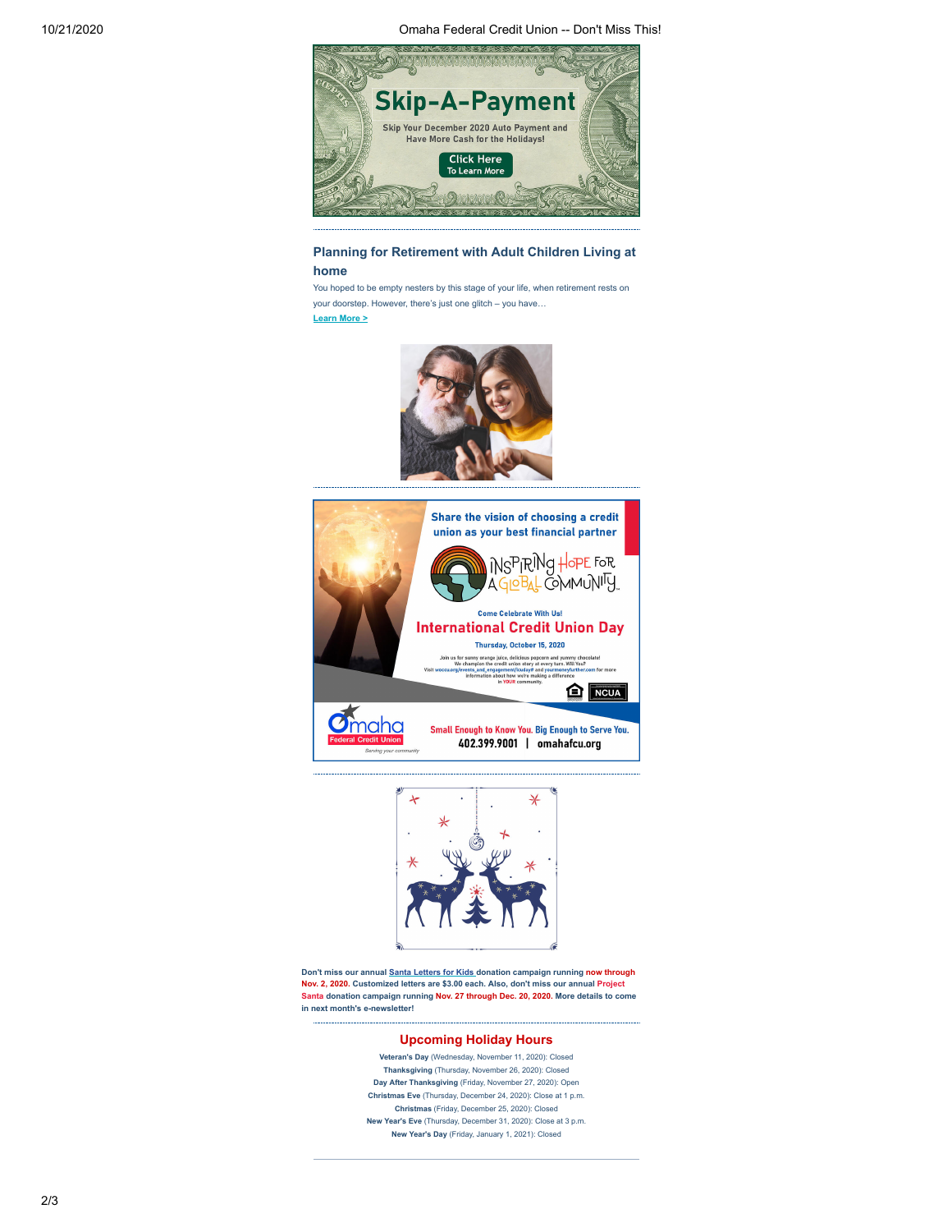10/21/2020 Omaha Federal Credit Union -- Don't Miss This!



# **Planning for Retirement with Adult Children Living at home**

You hoped to be empty nesters by this stage of your life, when retirement rests on your doorstep. However, there's just one glitch – you have… **[Learn More >](https://www.cuinsight.com/how-to-prepare-for-retirement-with-adult-children-living-at-home.html?utm_source=hs_email&utm_medium=email&_hsenc=p2ANqtz-8cY1pqZ8OD2JWJAG3BfBxU9TiMDYXkRvA1_u-DrQ0I0Y9ImOF6UyL-6AmfUQMQdsX612Ya)**







**Don't miss our annual [Santa Letters for Kids](https://www.omahafcu.org/2020/10/13/santa-letters-for-kids/?utm_source=hs_email&utm_medium=email&_hsenc=p2ANqtz-8cY1pqZ8OD2JWJAG3BfBxU9TiMDYXkRvA1_u-DrQ0I0Y9ImOF6UyL-6AmfUQMQdsX612Ya) donation campaign running now through Nov. 2, 2020. Customized letters are \$3.00 each. Also, don't miss our annual Project Santa donation campaign running Nov. 27 through Dec. 20, 2020. More details to come in next month's e-newsletter!**

### **Upcoming Holiday Hours**

**Veteran's Day** (Wednesday, November 11, 2020): Closed **Thanksgiving** (Thursday, November 26, 2020): Closed **Day After Thanksgiving** (Friday, November 27, 2020): Open **Christmas Eve** (Thursday, December 24, 2020): Close at 1 p.m. **Christmas** (Friday, December 25, 2020): Closed **New Year's Eve** (Thursday, December 31, 2020): Close at 3 p.m. **New Year's Day** (Friday, January 1, 2021): Closed